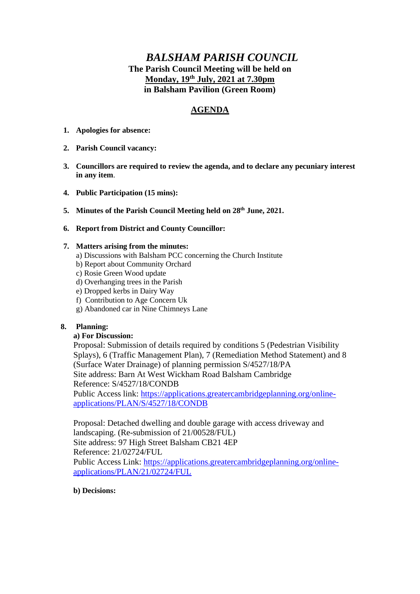# *BALSHAM PARISH COUNCIL* **The Parish Council Meeting will be held on Monday, 19th July, 2021 at 7.30pm in Balsham Pavilion (Green Room)**

## **AGENDA**

- **1. Apologies for absence:**
- **2. Parish Council vacancy:**
- **3. Councillors are required to review the agenda, and to declare any pecuniary interest in any item**.
- **4. Public Participation (15 mins):**
- **5. Minutes of the Parish Council Meeting held on 28th June, 2021.**
- **6. Report from District and County Councillor:**

#### **7. Matters arising from the minutes:**

- a) Discussions with Balsham PCC concerning the Church Institute
- b) Report about Community Orchard
- c) Rosie Green Wood update
- d) Overhanging trees in the Parish
- e) Dropped kerbs in Dairy Way
- f) Contribution to Age Concern Uk
- g) Abandoned car in Nine Chimneys Lane

## **8. Planning:**

## **a) For Discussion:**

Proposal: Submission of details required by conditions 5 (Pedestrian Visibility Splays), 6 (Traffic Management Plan), 7 (Remediation Method Statement) and 8 (Surface Water Drainage) of planning permission S/4527/18/PA Site address: Barn At West Wickham Road Balsham Cambridge Reference: S/4527/18/CONDB Public Access link: [https://applications.greatercambridgeplanning.org/online](https://applications.greatercambridgeplanning.org/online-applications/PLAN/S/4527/18/CONDB)[applications/PLAN/S/4527/18/CONDB](https://applications.greatercambridgeplanning.org/online-applications/PLAN/S/4527/18/CONDB)

Proposal: Detached dwelling and double garage with access driveway and landscaping. (Re-submission of 21/00528/FUL) Site address: 97 High Street Balsham CB21 4EP Reference: 21/02724/FUL Public Access Link: [https://applications.greatercambridgeplanning.org/online](https://applications.greatercambridgeplanning.org/online-applications/PLAN/21/02724/FUL)[applications/PLAN/21/02724/FUL](https://applications.greatercambridgeplanning.org/online-applications/PLAN/21/02724/FUL)

#### **b) Decisions:**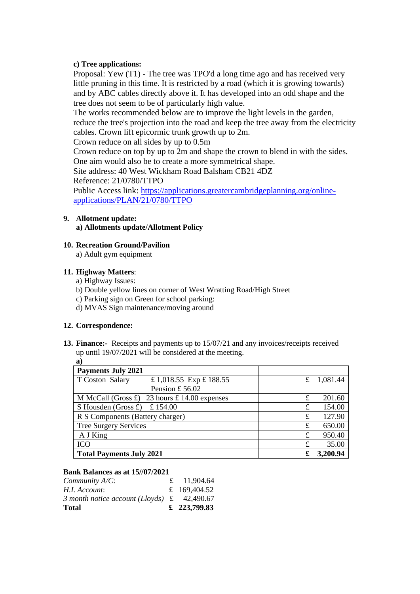## **c) Tree applications:**

Proposal: Yew (T1) - The tree was TPO'd a long time ago and has received very little pruning in this time. It is restricted by a road (which it is growing towards) and by ABC cables directly above it. It has developed into an odd shape and the tree does not seem to be of particularly high value.

The works recommended below are to improve the light levels in the garden, reduce the tree's projection into the road and keep the tree away from the electricity cables. Crown lift epicormic trunk growth up to 2m.

Crown reduce on all sides by up to 0.5m

Crown reduce on top by up to 2m and shape the crown to blend in with the sides. One aim would also be to create a more symmetrical shape.

Site address: 40 West Wickham Road Balsham CB21 4DZ

Reference: 21/0780/TTPO

Public Access link: [https://applications.greatercambridgeplanning.org/online](https://applications.greatercambridgeplanning.org/online-applications/PLAN/21/0780/TTPO)[applications/PLAN/21/0780/TTPO](https://applications.greatercambridgeplanning.org/online-applications/PLAN/21/0780/TTPO)

## **9. Allotment update:**

**a) Allotments update/Allotment Policy**

### **10. Recreation Ground/Pavilion**

a) Adult gym equipment

### **11. Highway Matters**:

a) Highway Issues:

- b) Double yellow lines on corner of West Wratting Road/High Street
- c) Parking sign on Green for school parking:
- d) MVAS Sign maintenance/moving around

#### **12. Correspondence:**

**13. Finance:-** Receipts and payments up to 15/07/21 and any invoices/receipts received up until 19/07/2021 will be considered at the meeting. **a)**

| u 1                                                           |                         |   |              |  |
|---------------------------------------------------------------|-------------------------|---|--------------|--|
| <b>Payments July 2021</b>                                     |                         |   |              |  |
| T Coston Salary                                               | £ 1,018.55 Exp £ 188.55 |   | £ $1,081.44$ |  |
|                                                               | Pension £56.02          |   |              |  |
| M McCall (Gross $\pounds$ ) 23 hours $\pounds$ 14.00 expenses |                         | £ | 201.60       |  |
| S Housden (Gross $\pounds$ )<br>£ 154.00                      |                         | £ | 154.00       |  |
| R S Components (Battery charger)                              |                         | £ | 127.90       |  |
| Tree Surgery Services                                         |                         | £ | 650.00       |  |
| A J King                                                      |                         | £ | 950.40       |  |
| <b>ICO</b>                                                    |                         | £ | 35.00        |  |
| <b>Total Payments July 2021</b>                               |                         |   | 3,200.94     |  |

#### **Bank Balances as at 15//07/2021**

| <b>Total</b>                                               | £ 223,799.83 |
|------------------------------------------------------------|--------------|
| 3 month notice account (Lloyds) $\text{\pounds}$ 42,490.67 |              |
| H.I. Account:                                              | £ 169,404.52 |
| Community $A/C$ :                                          | £ 11,904.64  |